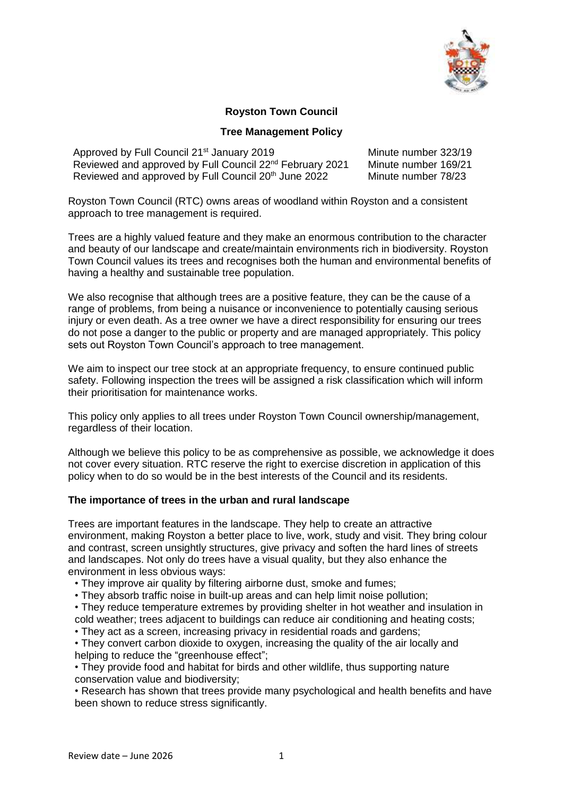

## **Royston Town Council**

### **Tree Management Policy**

| Approved by Full Council 21 <sup>st</sup> January 2019               | Minute number 323/19 |
|----------------------------------------------------------------------|----------------------|
| Reviewed and approved by Full Council 22 <sup>nd</sup> February 2021 | Minute number 169/21 |
| Reviewed and approved by Full Council 20 <sup>th</sup> June 2022     | Minute number 78/23  |

Royston Town Council (RTC) owns areas of woodland within Royston and a consistent approach to tree management is required.

Trees are a highly valued feature and they make an enormous contribution to the character and beauty of our landscape and create/maintain environments rich in biodiversity. Royston Town Council values its trees and recognises both the human and environmental benefits of having a healthy and sustainable tree population.

We also recognise that although trees are a positive feature, they can be the cause of a range of problems, from being a nuisance or inconvenience to potentially causing serious injury or even death. As a tree owner we have a direct responsibility for ensuring our trees do not pose a danger to the public or property and are managed appropriately. This policy sets out Royston Town Council's approach to tree management.

We aim to inspect our tree stock at an appropriate frequency, to ensure continued public safety. Following inspection the trees will be assigned a risk classification which will inform their prioritisation for maintenance works.

This policy only applies to all trees under Royston Town Council ownership/management, regardless of their location.

Although we believe this policy to be as comprehensive as possible, we acknowledge it does not cover every situation. RTC reserve the right to exercise discretion in application of this policy when to do so would be in the best interests of the Council and its residents.

### **The importance of trees in the urban and rural landscape**

Trees are important features in the landscape. They help to create an attractive environment, making Royston a better place to live, work, study and visit. They bring colour and contrast, screen unsightly structures, give privacy and soften the hard lines of streets and landscapes. Not only do trees have a visual quality, but they also enhance the environment in less obvious ways:

• They improve air quality by filtering airborne dust, smoke and fumes;

• They absorb traffic noise in built-up areas and can help limit noise pollution;

• They reduce temperature extremes by providing shelter in hot weather and insulation in cold weather; trees adjacent to buildings can reduce air conditioning and heating costs;

• They act as a screen, increasing privacy in residential roads and gardens;

• They convert carbon dioxide to oxygen, increasing the quality of the air locally and helping to reduce the "greenhouse effect";

• They provide food and habitat for birds and other wildlife, thus supporting nature conservation value and biodiversity;

• Research has shown that trees provide many psychological and health benefits and have been shown to reduce stress significantly.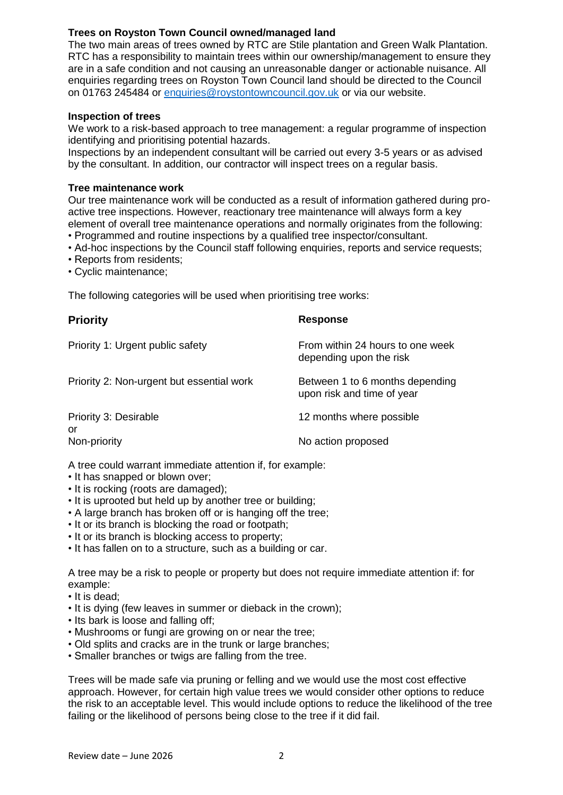# **Trees on Royston Town Council owned/managed land**

The two main areas of trees owned by RTC are Stile plantation and Green Walk Plantation. RTC has a responsibility to maintain trees within our ownership/management to ensure they are in a safe condition and not causing an unreasonable danger or actionable nuisance. All enquiries regarding trees on Royston Town Council land should be directed to the Council on 01763 245484 or [enquiries@roystontowncouncil.gov.uk](mailto:enquiries@roystontowncouncil.gov.uk) or via our website.

### **Inspection of trees**

We work to a risk-based approach to tree management: a regular programme of inspection identifying and prioritising potential hazards.

Inspections by an independent consultant will be carried out every 3-5 years or as advised by the consultant. In addition, our contractor will inspect trees on a regular basis.

### **Tree maintenance work**

Our tree maintenance work will be conducted as a result of information gathered during proactive tree inspections. However, reactionary tree maintenance will always form a key element of overall tree maintenance operations and normally originates from the following:

- Programmed and routine inspections by a qualified tree inspector/consultant.
- Ad-hoc inspections by the Council staff following enquiries, reports and service requests;
- Reports from residents;
- Cyclic maintenance;

The following categories will be used when prioritising tree works:

| <b>Priority</b>                           | <b>Response</b>                                               |
|-------------------------------------------|---------------------------------------------------------------|
| Priority 1: Urgent public safety          | From within 24 hours to one week<br>depending upon the risk   |
| Priority 2: Non-urgent but essential work | Between 1 to 6 months depending<br>upon risk and time of year |
| Priority 3: Desirable                     | 12 months where possible                                      |
| or<br>Non-priority                        | No action proposed                                            |

A tree could warrant immediate attention if, for example:

- It has snapped or blown over;
- It is rocking (roots are damaged);
- It is uprooted but held up by another tree or building;
- A large branch has broken off or is hanging off the tree;
- It or its branch is blocking the road or footpath;
- It or its branch is blocking access to property;
- It has fallen on to a structure, such as a building or car.

A tree may be a risk to people or property but does not require immediate attention if: for example:

- It is dead;
- It is dying (few leaves in summer or dieback in the crown);
- Its bark is loose and falling off;
- Mushrooms or fungi are growing on or near the tree;
- Old splits and cracks are in the trunk or large branches;
- Smaller branches or twigs are falling from the tree.

Trees will be made safe via pruning or felling and we would use the most cost effective approach. However, for certain high value trees we would consider other options to reduce the risk to an acceptable level. This would include options to reduce the likelihood of the tree failing or the likelihood of persons being close to the tree if it did fail.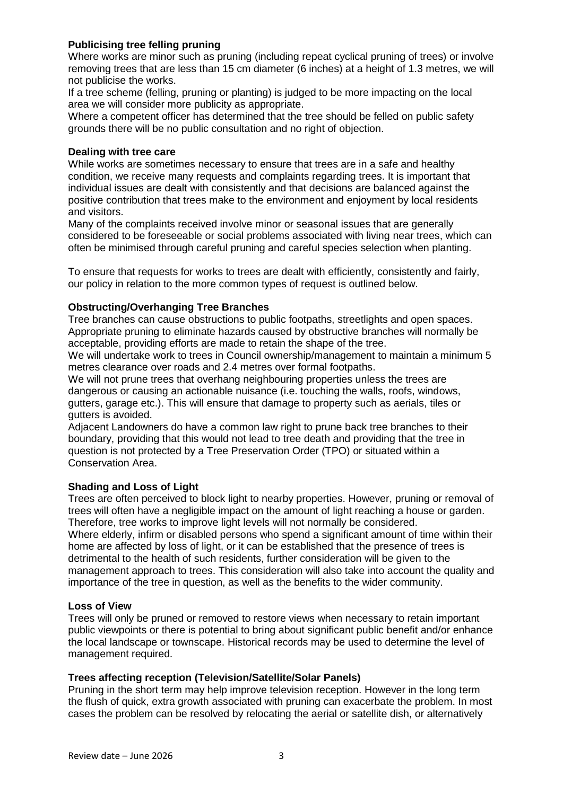## **Publicising tree felling pruning**

Where works are minor such as pruning (including repeat cyclical pruning of trees) or involve removing trees that are less than 15 cm diameter (6 inches) at a height of 1.3 metres, we will not publicise the works.

If a tree scheme (felling, pruning or planting) is judged to be more impacting on the local area we will consider more publicity as appropriate.

Where a competent officer has determined that the tree should be felled on public safety grounds there will be no public consultation and no right of objection.

### **Dealing with tree care**

While works are sometimes necessary to ensure that trees are in a safe and healthy condition, we receive many requests and complaints regarding trees. It is important that individual issues are dealt with consistently and that decisions are balanced against the positive contribution that trees make to the environment and enjoyment by local residents and visitors.

Many of the complaints received involve minor or seasonal issues that are generally considered to be foreseeable or social problems associated with living near trees, which can often be minimised through careful pruning and careful species selection when planting.

To ensure that requests for works to trees are dealt with efficiently, consistently and fairly, our policy in relation to the more common types of request is outlined below.

## **Obstructing/Overhanging Tree Branches**

Tree branches can cause obstructions to public footpaths, streetlights and open spaces. Appropriate pruning to eliminate hazards caused by obstructive branches will normally be acceptable, providing efforts are made to retain the shape of the tree.

We will undertake work to trees in Council ownership/management to maintain a minimum 5 metres clearance over roads and 2.4 metres over formal footpaths.

We will not prune trees that overhang neighbouring properties unless the trees are dangerous or causing an actionable nuisance (i.e. touching the walls, roofs, windows, gutters, garage etc.). This will ensure that damage to property such as aerials, tiles or gutters is avoided.

Adjacent Landowners do have a common law right to prune back tree branches to their boundary, providing that this would not lead to tree death and providing that the tree in question is not protected by a Tree Preservation Order (TPO) or situated within a Conservation Area.

## **Shading and Loss of Light**

Trees are often perceived to block light to nearby properties. However, pruning or removal of trees will often have a negligible impact on the amount of light reaching a house or garden. Therefore, tree works to improve light levels will not normally be considered. Where elderly, infirm or disabled persons who spend a significant amount of time within their home are affected by loss of light, or it can be established that the presence of trees is detrimental to the health of such residents, further consideration will be given to the management approach to trees. This consideration will also take into account the quality and importance of the tree in question, as well as the benefits to the wider community.

## **Loss of View**

Trees will only be pruned or removed to restore views when necessary to retain important public viewpoints or there is potential to bring about significant public benefit and/or enhance the local landscape or townscape. Historical records may be used to determine the level of management required.

## **Trees affecting reception (Television/Satellite/Solar Panels)**

Pruning in the short term may help improve television reception. However in the long term the flush of quick, extra growth associated with pruning can exacerbate the problem. In most cases the problem can be resolved by relocating the aerial or satellite dish, or alternatively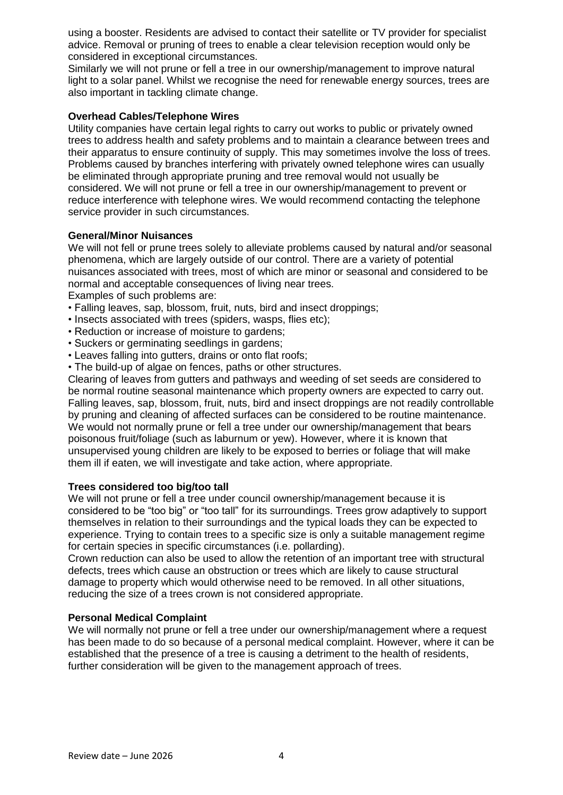using a booster. Residents are advised to contact their satellite or TV provider for specialist advice. Removal or pruning of trees to enable a clear television reception would only be considered in exceptional circumstances.

Similarly we will not prune or fell a tree in our ownership/management to improve natural light to a solar panel. Whilst we recognise the need for renewable energy sources, trees are also important in tackling climate change.

## **Overhead Cables/Telephone Wires**

Utility companies have certain legal rights to carry out works to public or privately owned trees to address health and safety problems and to maintain a clearance between trees and their apparatus to ensure continuity of supply. This may sometimes involve the loss of trees. Problems caused by branches interfering with privately owned telephone wires can usually be eliminated through appropriate pruning and tree removal would not usually be considered. We will not prune or fell a tree in our ownership/management to prevent or reduce interference with telephone wires. We would recommend contacting the telephone service provider in such circumstances.

### **General/Minor Nuisances**

We will not fell or prune trees solely to alleviate problems caused by natural and/or seasonal phenomena, which are largely outside of our control. There are a variety of potential nuisances associated with trees, most of which are minor or seasonal and considered to be normal and acceptable consequences of living near trees.

Examples of such problems are:

- Falling leaves, sap, blossom, fruit, nuts, bird and insect droppings;
- Insects associated with trees (spiders, wasps, flies etc);
- Reduction or increase of moisture to gardens;
- Suckers or germinating seedlings in gardens;
- Leaves falling into gutters, drains or onto flat roofs;
- The build-up of algae on fences, paths or other structures.

Clearing of leaves from gutters and pathways and weeding of set seeds are considered to be normal routine seasonal maintenance which property owners are expected to carry out. Falling leaves, sap, blossom, fruit, nuts, bird and insect droppings are not readily controllable by pruning and cleaning of affected surfaces can be considered to be routine maintenance. We would not normally prune or fell a tree under our ownership/management that bears poisonous fruit/foliage (such as laburnum or yew). However, where it is known that unsupervised young children are likely to be exposed to berries or foliage that will make them ill if eaten, we will investigate and take action, where appropriate.

### **Trees considered too big/too tall**

We will not prune or fell a tree under council ownership/management because it is considered to be "too big" or "too tall" for its surroundings. Trees grow adaptively to support themselves in relation to their surroundings and the typical loads they can be expected to experience. Trying to contain trees to a specific size is only a suitable management regime for certain species in specific circumstances (i.e. pollarding).

Crown reduction can also be used to allow the retention of an important tree with structural defects, trees which cause an obstruction or trees which are likely to cause structural damage to property which would otherwise need to be removed. In all other situations, reducing the size of a trees crown is not considered appropriate.

## **Personal Medical Complaint**

We will normally not prune or fell a tree under our ownership/management where a request has been made to do so because of a personal medical complaint. However, where it can be established that the presence of a tree is causing a detriment to the health of residents, further consideration will be given to the management approach of trees.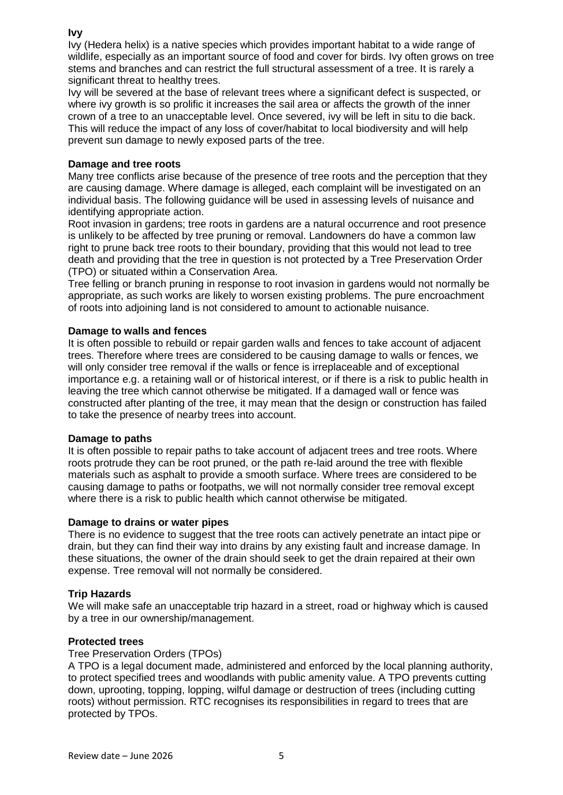## **Ivy**

Ivy (Hedera helix) is a native species which provides important habitat to a wide range of wildlife. especially as an important source of food and cover for birds. Ivy often grows on tree stems and branches and can restrict the full structural assessment of a tree. It is rarely a significant threat to healthy trees.

Ivy will be severed at the base of relevant trees where a significant defect is suspected, or where ivy growth is so prolific it increases the sail area or affects the growth of the inner crown of a tree to an unacceptable level. Once severed, ivy will be left in situ to die back. This will reduce the impact of any loss of cover/habitat to local biodiversity and will help prevent sun damage to newly exposed parts of the tree.

## **Damage and tree roots**

Many tree conflicts arise because of the presence of tree roots and the perception that they are causing damage. Where damage is alleged, each complaint will be investigated on an individual basis. The following guidance will be used in assessing levels of nuisance and identifying appropriate action.

Root invasion in gardens; tree roots in gardens are a natural occurrence and root presence is unlikely to be affected by tree pruning or removal. Landowners do have a common law right to prune back tree roots to their boundary, providing that this would not lead to tree death and providing that the tree in question is not protected by a Tree Preservation Order (TPO) or situated within a Conservation Area.

Tree felling or branch pruning in response to root invasion in gardens would not normally be appropriate, as such works are likely to worsen existing problems. The pure encroachment of roots into adjoining land is not considered to amount to actionable nuisance.

### **Damage to walls and fences**

It is often possible to rebuild or repair garden walls and fences to take account of adjacent trees. Therefore where trees are considered to be causing damage to walls or fences, we will only consider tree removal if the walls or fence is irreplaceable and of exceptional importance e.g. a retaining wall or of historical interest, or if there is a risk to public health in leaving the tree which cannot otherwise be mitigated. If a damaged wall or fence was constructed after planting of the tree, it may mean that the design or construction has failed to take the presence of nearby trees into account.

### **Damage to paths**

It is often possible to repair paths to take account of adjacent trees and tree roots. Where roots protrude they can be root pruned, or the path re-laid around the tree with flexible materials such as asphalt to provide a smooth surface. Where trees are considered to be causing damage to paths or footpaths, we will not normally consider tree removal except where there is a risk to public health which cannot otherwise be mitigated.

### **Damage to drains or water pipes**

There is no evidence to suggest that the tree roots can actively penetrate an intact pipe or drain, but they can find their way into drains by any existing fault and increase damage. In these situations, the owner of the drain should seek to get the drain repaired at their own expense. Tree removal will not normally be considered.

### **Trip Hazards**

We will make safe an unacceptable trip hazard in a street, road or highway which is caused by a tree in our ownership/management.

## **Protected trees**

### Tree Preservation Orders (TPOs)

A TPO is a legal document made, administered and enforced by the local planning authority, to protect specified trees and woodlands with public amenity value. A TPO prevents cutting down, uprooting, topping, lopping, wilful damage or destruction of trees (including cutting roots) without permission. RTC recognises its responsibilities in regard to trees that are protected by TPOs.